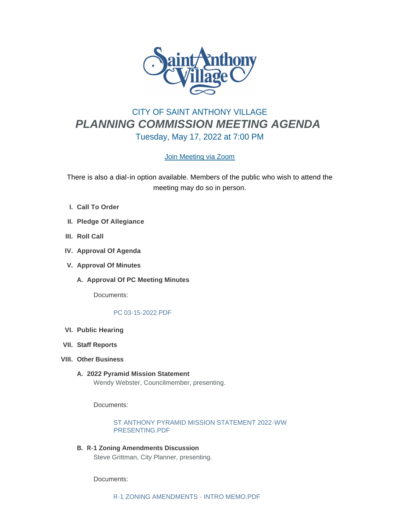

# CITY OF SAINT ANTHONY VILLAGE *PLANNING COMMISSION MEETING AGENDA* Tuesday, May 17, 2022 at 7:00 PM

# [Join Meeting via Zoom](https://www.savmn.com/Calendar.aspx?EID=1604)

There is also a dial-in option available. Members of the public who wish to attend the meeting may do so in person.

- **Call To Order I.**
- **Pledge Of Allegiance II.**
- **III.** Roll Call
- **IV.** Approval Of Agenda
- **Approval Of Minutes V.**
	- A. Approval Of PC Meeting Minutes

Documents:

#### [PC 03-15-2022.PDF](http://www.savmn.com/AgendaCenter/ViewFile/Item/893?fileID=6864)

- **Public Hearing VI.**
- **Staff Reports VII.**
- **Other Business VIII.**
	- **2022 Pyramid Mission Statement A.** Wendy Webster, Councilmember, presenting.

Documents:

[ST ANTHONY PYRAMID MISSION STATEMENT 2022-WW](http://www.savmn.com/AgendaCenter/ViewFile/Item/894?fileID=6865)  PRESENTING.PDF

**R-1 Zoning Amendments Discussion B.** Steve Grittman, City Planner, presenting.

Documents: